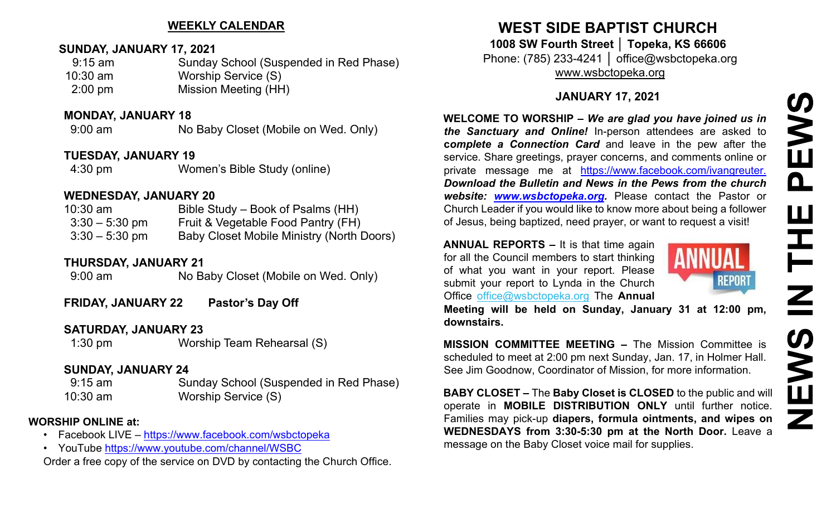### **WEEKLY CALENDAR**

# **SUNDAY, JANUARY 17, 2021**

| $9:15$ am         | Sunday School (Suspended in Red Phase) |
|-------------------|----------------------------------------|
| $10:30$ am        | Worship Service (S)                    |
| $2:00 \text{ pm}$ | Mission Meeting (HH)                   |

### **MONDAY, JANUARY 18**

9:00 am No Baby Closet (Mobile on Wed. Only)

# **TUESDAY, JANUARY 19**

4:30 pm Women's Bible Study (online)

### **WEDNESDAY, JANUARY 20**

| $10:30$ am       | Bible Study – Book of Psalms (HH)                |
|------------------|--------------------------------------------------|
| $3:30 - 5:30$ pm | Fruit & Vegetable Food Pantry (FH)               |
| $3:30 - 5:30$ pm | <b>Baby Closet Mobile Ministry (North Doors)</b> |

# **THURSDAY, JANUARY 21**

9:00 am No Baby Closet (Mobile on Wed. Only)

**FRIDAY, JANUARY 22 Pastor's Day Off**

# **SATURDAY, JANUARY 23**

1:30 pm Worship Team Rehearsal (S)

# **SUNDAY, JANUARY 24**

9:15 am Sunday School (Suspended in Red Phase) 10:30 am Worship Service (S)

# **WORSHIP ONLINE at:**

- Facebook LIVE <https://www.facebook.com/wsbctopeka>
- YouTube <https://www.youtube.com/channel/WSBC>

Order a free copy of the service on DVD by contacting the Church Office.

# **WEST SIDE BAPTIST CHURCH**

**1008 SW Fourth Street │ Topeka, KS 66606** Phone: (785) 233-4241 │ office@wsbctopeka.org [www.wsbctopeka.org](http://www.wsbctopeka.org/)

# **JANUARY 17, 2021**

**WELCOME TO WORSHIP –** *We are glad you have joined us in the Sanctuary and Online!* In-person attendees are asked to **c***omplete a Connection Card* and leave in the pew after the service. Share greetings, prayer concerns, and comments online or private message me at <https://www.facebook.com/ivangreuter.> *Download the Bulletin and News in the Pews from the church website: [www.wsbctopeka.org.](http://www.wsbctopeka.org/)* Please contact the Pastor or Church Leader if you would like to know more about being a follower of Jesus, being baptized, need prayer, or want to request a visit!

**ANNUAL REPORTS –** It is that time again for all the Council members to start thinking of what you want in your report. Please submit your report to Lynda in the Church Office office@wsbctopeka.org The **Annual** 



**Meeting will be held on Sunday, January 31 at 12:00 pm, downstairs.** 

**MISSION COMMITTEE MEETING –** The Mission Committee is scheduled to meet at 2:00 pm next Sunday, Jan. 17, in Holmer Hall. See Jim Goodnow, Coordinator of Mission, for more information.

**BABY CLOSET –** The **Baby Closet is CLOSED** to the public and will operate in **MOBILE DISTRIBUTION ONLY** until further notice. Families may pick-up **diapers, formula ointments, and wipes on WEDNESDAYS from 3:30-5:30 pm at the North Door.** Leave a message on the Baby Closet voice mail for supplies.

# PEWS HH<br>N<br>N<br>N **SWEN**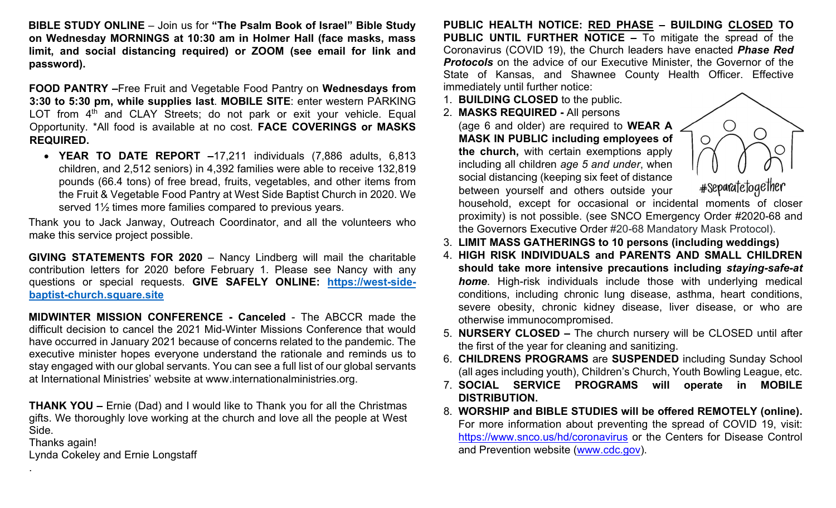**BIBLE STUDY ONLINE** – Join us for **"The Psalm Book of Israel" Bible Study on Wednesday MORNINGS at 10:30 am in Holmer Hall (face masks, mass limit, and social distancing required) or ZOOM (see email for link and password).** 

**FOOD PANTRY –**Free Fruit and Vegetable Food Pantry on **Wednesdays from 3:30 to 5:30 pm, while supplies last**. **MOBILE SITE**: enter western PARKING LOT from  $4<sup>th</sup>$  and CLAY Streets; do not park or exit your vehicle. Equal Opportunity. \*All food is available at no cost. **FACE COVERINGS or MASKS REQUIRED.**

• **YEAR TO DATE REPORT –**17,211 individuals (7,886 adults, 6,813 children, and 2,512 seniors) in 4,392 families were able to receive 132,819 pounds (66.4 tons) of free bread, fruits, vegetables, and other items from the Fruit & Vegetable Food Pantry at West Side Baptist Church in 2020. We served 1½ times more families compared to previous years.

Thank you to Jack Janway, Outreach Coordinator, and all the volunteers who make this service project possible.

**GIVING STATEMENTS FOR 2020** – Nancy Lindberg will mail the charitable contribution letters for 2020 before February 1. Please see Nancy with any questions or special requests. **GIVE SAFELY ONLINE: [https://west-side](https://west-side-baptist-church.square.site/)[baptist-church.square.site](https://west-side-baptist-church.square.site/)**

**MIDWINTER MISSION CONFERENCE - Canceled** - The ABCCR made the difficult decision to cancel the 2021 Mid-Winter Missions Conference that would have occurred in January 2021 because of concerns related to the pandemic. The executive minister hopes everyone understand the rationale and reminds us to stay engaged with our global servants. You can see a full list of our global servants at International Ministries' website at www.internationalministries.org.

**THANK YOU –** Ernie (Dad) and I would like to Thank you for all the Christmas gifts. We thoroughly love working at the church and love all the people at West Side.

Thanks again!

.

Lynda Cokeley and Ernie Longstaff

**PUBLIC HEALTH NOTICE: RED PHASE – BUILDING CLOSED TO PUBLIC UNTIL FURTHER NOTICE –** To mitigate the spread of the Coronavirus (COVID 19), the Church leaders have enacted *Phase Red*  **Protocols** on the advice of our Executive Minister, the Governor of the State of Kansas, and Shawnee County Health Officer. Effective immediately until further notice:

- 1. **BUILDING CLOSED** to the public.
- 2. **MASKS REQUIRED -** All persons

(age 6 and older) are required to **WEAR A MASK IN PUBLIC including employees of the church,** with certain exemptions apply including all children *age 5 and under*, when social distancing (keeping six feet of distance between yourself and others outside your



household, except for occasional or incidental moments of closer proximity) is not possible. (see SNCO Emergency Order #2020-68 and the Governors Executive Order #20-68 Mandatory Mask Protocol).

- 3. **LIMIT MASS GATHERINGS to 10 persons (including weddings)**
- 4. **HIGH RISK INDIVIDUALS and PARENTS AND SMALL CHILDREN should take more intensive precautions including** *staying-safe-at home*. High-risk individuals include those with underlying medical conditions, including chronic lung disease, asthma, heart conditions, severe obesity, chronic kidney disease, liver disease, or who are otherwise immunocompromised.
- 5. **NURSERY CLOSED –** The church nursery will be CLOSED until after the first of the year for cleaning and sanitizing.
- 6. **CHILDRENS PROGRAMS** are **SUSPENDED** including Sunday School (all ages including youth), Children's Church, Youth Bowling League, etc.
- 7. **SOCIAL SERVICE PROGRAMS will operate in MOBILE DISTRIBUTION.**
- 8. **WORSHIP and BIBLE STUDIES will be offered REMOTELY (online).**  For more information about preventing the spread of COVID 19, visit: <https://www.snco.us/hd/coronavirus> [o](https://www.snco.us/hd/coronavirus)r the Centers for Disease Control and Prevention website [\(www.cdc.gov\).](http://www.cdc.gov/)